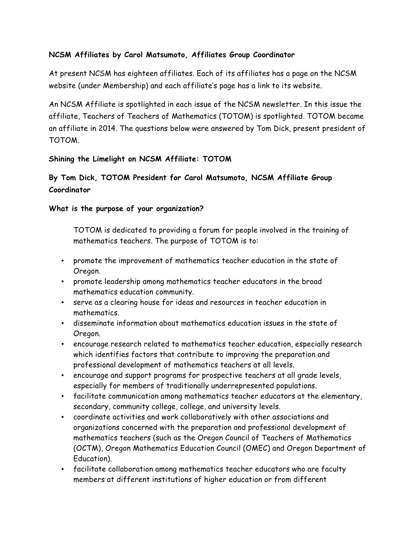## **NCSM Affiliates by Carol Matsumoto, Affiliates Group Coordinator**

At present NCSM has eighteen affiliates. Each of its affiliates has a page on the NCSM website (under Membership) and each affiliate's page has a link to its website.

An NCSM Affiliate is spotlighted in each issue of the NCSM newsletter. In this issue the affiliate, Teachers of Teachers of Mathematics (TOTOM) is spotlighted. TOTOM became an affiliate in 2014. The questions below were answered by Tom Dick, present president of TOTOM.

## **Shining the Limelight on NCSM Affiliate: TOTOM**

# **By Tom Dick, TOTOM President for Carol Matsumoto, NCSM Affiliate Group Coordinator**

## **What is the purpose of your organization?**

TOTOM is dedicated to providing a forum for people involved in the training of mathematics teachers. The purpose of TOTOM is to:

- promote the improvement of mathematics teacher education in the state of Oregon.
- promote leadership among mathematics teacher educators in the broad mathematics education community.
- serve as a clearing house for ideas and resources in teacher education in mathematics.
- disseminate information about mathematics education issues in the state of Oregon.
- encourage research related to mathematics teacher education, especially research which identifies factors that contribute to improving the preparation and professional development of mathematics teachers at all levels.
- encourage and support programs for prospective teachers at all grade levels, especially for members of traditionally underrepresented populations.
- facilitate communication among mathematics teacher educators at the elementary, secondary, community college, college, and university levels.
- coordinate activities and work collaboratively with other associations and organizations concerned with the preparation and professional development of mathematics teachers (such as the Oregon Council of Teachers of Mathematics (OCTM), Oregon Mathematics Education Council (OMEC) and Oregon Department of Education).
- facilitate collaboration among mathematics teacher educators who are faculty members at different institutions of higher education or from different